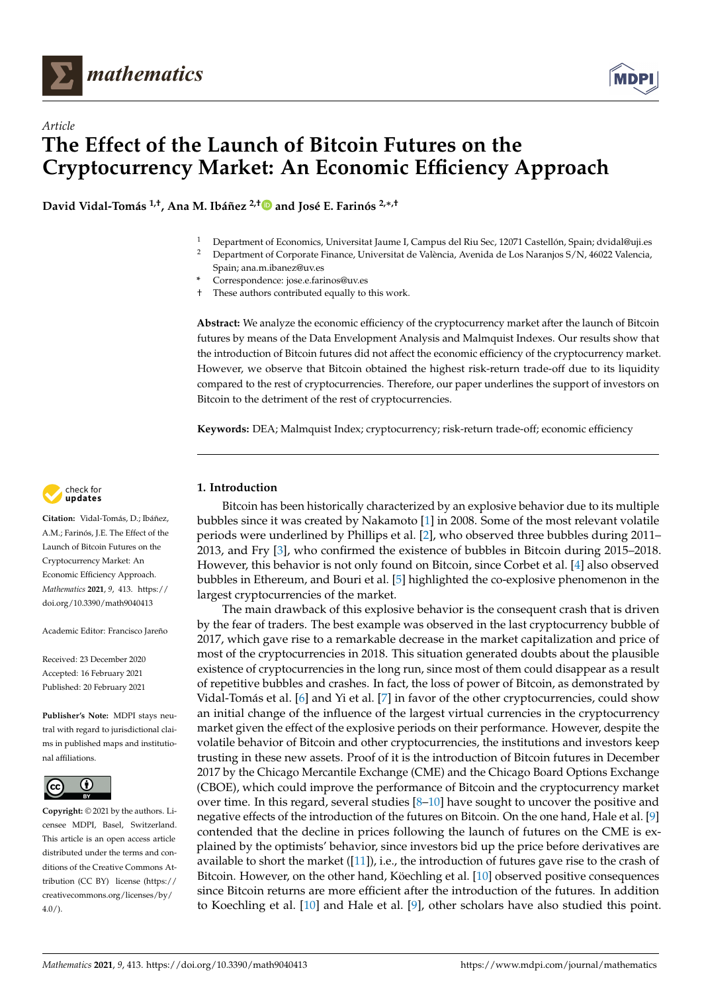

*Article*



**David Vidal-Tomás 1,†, Ana M. Ibáñez 2,[†](https://orcid.org/0000-0003-0362-5535) and José E. Farinós 2,**∗**,†**

- <sup>1</sup> Department of Economics, Universitat Jaume I, Campus del Riu Sec, 12071 Castellón, Spain; dvidal@uji.es<br><sup>2</sup> Department of Campuste Lineanes, Universitat de Valèncie, Avenida de Lee Naronies S (N. 46022 Valencie,
- <sup>2</sup> Department of Corporate Finance, Universitat de València, Avenida de Los Naranjos S/N, 46022 Valencia, Spain; ana.m.ibanez@uv.es
- **\*** Correspondence: jose.e.farinos@uv.es
- † These authors contributed equally to this work.

**Abstract:** We analyze the economic efficiency of the cryptocurrency market after the launch of Bitcoin futures by means of the Data Envelopment Analysis and Malmquist Indexes. Our results show that the introduction of Bitcoin futures did not affect the economic efficiency of the cryptocurrency market. However, we observe that Bitcoin obtained the highest risk-return trade-off due to its liquidity compared to the rest of cryptocurrencies. Therefore, our paper underlines the support of investors on Bitcoin to the detriment of the rest of cryptocurrencies.

**Keywords:** DEA; Malmquist Index; cryptocurrency; risk-return trade-off; economic efficiency

## **1. Introduction**

Bitcoin has been historically characterized by an explosive behavior due to its multiple bubbles since it was created by Nakamoto [\[1\]](#page-11-0) in 2008. Some of the most relevant volatile periods were underlined by Phillips et al. [\[2\]](#page-11-1), who observed three bubbles during 2011– 2013, and Fry [\[3\]](#page-11-2), who confirmed the existence of bubbles in Bitcoin during 2015–2018. However, this behavior is not only found on Bitcoin, since Corbet et al. [\[4\]](#page-11-3) also observed bubbles in Ethereum, and Bouri et al. [\[5\]](#page-12-0) highlighted the co-explosive phenomenon in the largest cryptocurrencies of the market.

The main drawback of this explosive behavior is the consequent crash that is driven by the fear of traders. The best example was observed in the last cryptocurrency bubble of 2017, which gave rise to a remarkable decrease in the market capitalization and price of most of the cryptocurrencies in 2018. This situation generated doubts about the plausible existence of cryptocurrencies in the long run, since most of them could disappear as a result of repetitive bubbles and crashes. In fact, the loss of power of Bitcoin, as demonstrated by Vidal-Tomás et al. [\[6\]](#page-12-1) and Yi et al. [\[7\]](#page-12-2) in favor of the other cryptocurrencies, could show an initial change of the influence of the largest virtual currencies in the cryptocurrency market given the effect of the explosive periods on their performance. However, despite the volatile behavior of Bitcoin and other cryptocurrencies, the institutions and investors keep trusting in these new assets. Proof of it is the introduction of Bitcoin futures in December 2017 by the Chicago Mercantile Exchange (CME) and the Chicago Board Options Exchange (CBOE), which could improve the performance of Bitcoin and the cryptocurrency market over time. In this regard, several studies  $[8-10]$  $[8-10]$  have sought to uncover the positive and negative effects of the introduction of the futures on Bitcoin. On the one hand, Hale et al. [\[9\]](#page-12-5) contended that the decline in prices following the launch of futures on the CME is explained by the optimists' behavior, since investors bid up the price before derivatives are available to short the market  $([11])$  $([11])$  $([11])$ , i.e., the introduction of futures gave rise to the crash of Bitcoin. However, on the other hand, Köechling et al. [\[10\]](#page-12-4) observed positive consequences since Bitcoin returns are more efficient after the introduction of the futures. In addition to Koechling et al. [\[10\]](#page-12-4) and Hale et al. [\[9\]](#page-12-5), other scholars have also studied this point.



**Citation:** Vidal-Tomás, D.; Ibáñez, A.M.; Farinós, J.E. The Effect of the Launch of Bitcoin Futures on the Cryptocurrency Market: An Economic Efficiency Approach. *Mathematics* **2021**, *9*, 413. [https://](https://doi.org/10.3390/math9040413) [doi.org/10.3390/math9040413](https://doi.org/10.3390/math9040413)

Academic Editor: Francisco Jareño

Received: 23 December 2020 Accepted: 16 February 2021 Published: 20 February 2021

**Publisher's Note:** MDPI stays neutral with regard to jurisdictional claims in published maps and institutional affiliations.



**Copyright:** © 2021 by the authors. Licensee MDPI, Basel, Switzerland. This article is an open access article distributed under the terms and conditions of the Creative Commons Attribution (CC BY) license [\(https://](https://creativecommons.org/licenses/by/4.0/) [creativecommons.org/licenses/by/](https://creativecommons.org/licenses/by/4.0/) [4.0/\)](https://creativecommons.org/licenses/by/4.0/).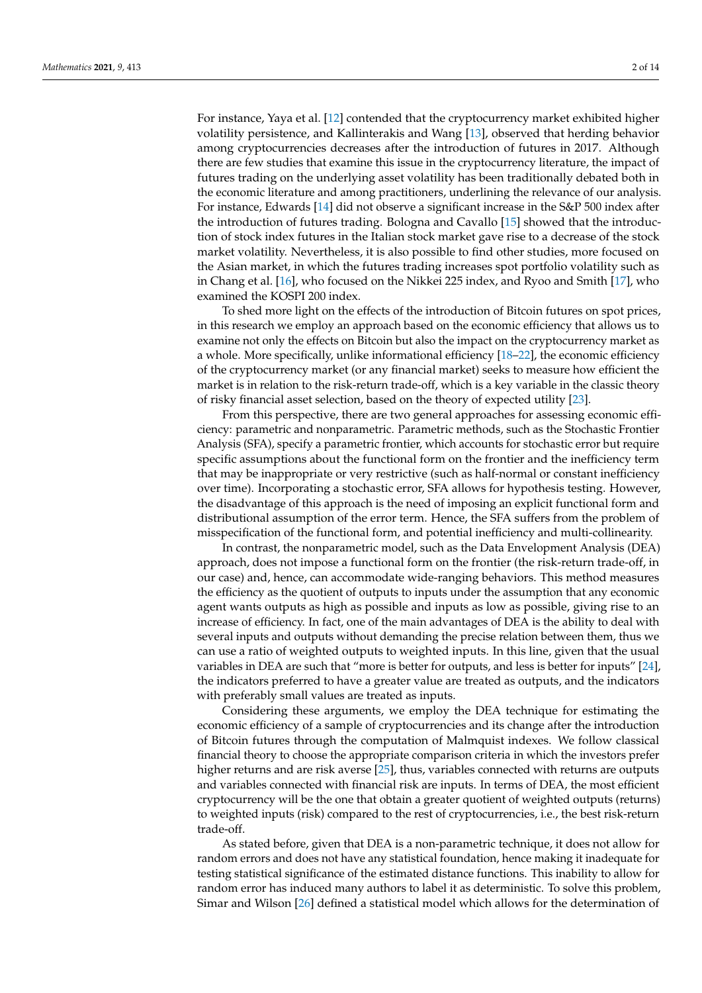For instance, Yaya et al. [\[12\]](#page-12-7) contended that the cryptocurrency market exhibited higher volatility persistence, and Kallinterakis and Wang [\[13\]](#page-12-8), observed that herding behavior among cryptocurrencies decreases after the introduction of futures in 2017. Although there are few studies that examine this issue in the cryptocurrency literature, the impact of futures trading on the underlying asset volatility has been traditionally debated both in the economic literature and among practitioners, underlining the relevance of our analysis. For instance, Edwards [\[14\]](#page-12-9) did not observe a significant increase in the S&P 500 index after the introduction of futures trading. Bologna and Cavallo [\[15\]](#page-12-10) showed that the introduction of stock index futures in the Italian stock market gave rise to a decrease of the stock market volatility. Nevertheless, it is also possible to find other studies, more focused on the Asian market, in which the futures trading increases spot portfolio volatility such as in Chang et al. [\[16\]](#page-12-11), who focused on the Nikkei 225 index, and Ryoo and Smith [\[17\]](#page-12-12), who examined the KOSPI 200 index.

To shed more light on the effects of the introduction of Bitcoin futures on spot prices, in this research we employ an approach based on the economic efficiency that allows us to examine not only the effects on Bitcoin but also the impact on the cryptocurrency market as a whole. More specifically, unlike informational efficiency [\[18–](#page-12-13)[22\]](#page-12-14), the economic efficiency of the cryptocurrency market (or any financial market) seeks to measure how efficient the market is in relation to the risk-return trade-off, which is a key variable in the classic theory of risky financial asset selection, based on the theory of expected utility [\[23\]](#page-12-15).

From this perspective, there are two general approaches for assessing economic efficiency: parametric and nonparametric. Parametric methods, such as the Stochastic Frontier Analysis (SFA), specify a parametric frontier, which accounts for stochastic error but require specific assumptions about the functional form on the frontier and the inefficiency term that may be inappropriate or very restrictive (such as half-normal or constant inefficiency over time). Incorporating a stochastic error, SFA allows for hypothesis testing. However, the disadvantage of this approach is the need of imposing an explicit functional form and distributional assumption of the error term. Hence, the SFA suffers from the problem of misspecification of the functional form, and potential inefficiency and multi-collinearity.

In contrast, the nonparametric model, such as the Data Envelopment Analysis (DEA) approach, does not impose a functional form on the frontier (the risk-return trade-off, in our case) and, hence, can accommodate wide-ranging behaviors. This method measures the efficiency as the quotient of outputs to inputs under the assumption that any economic agent wants outputs as high as possible and inputs as low as possible, giving rise to an increase of efficiency. In fact, one of the main advantages of DEA is the ability to deal with several inputs and outputs without demanding the precise relation between them, thus we can use a ratio of weighted outputs to weighted inputs. In this line, given that the usual variables in DEA are such that "more is better for outputs, and less is better for inputs" [\[24\]](#page-12-16), the indicators preferred to have a greater value are treated as outputs, and the indicators with preferably small values are treated as inputs.

Considering these arguments, we employ the DEA technique for estimating the economic efficiency of a sample of cryptocurrencies and its change after the introduction of Bitcoin futures through the computation of Malmquist indexes. We follow classical financial theory to choose the appropriate comparison criteria in which the investors prefer higher returns and are risk averse [\[25\]](#page-12-17), thus, variables connected with returns are outputs and variables connected with financial risk are inputs. In terms of DEA, the most efficient cryptocurrency will be the one that obtain a greater quotient of weighted outputs (returns) to weighted inputs (risk) compared to the rest of cryptocurrencies, i.e., the best risk-return trade-off.

As stated before, given that DEA is a non-parametric technique, it does not allow for random errors and does not have any statistical foundation, hence making it inadequate for testing statistical significance of the estimated distance functions. This inability to allow for random error has induced many authors to label it as deterministic. To solve this problem, Simar and Wilson [\[26\]](#page-12-18) defined a statistical model which allows for the determination of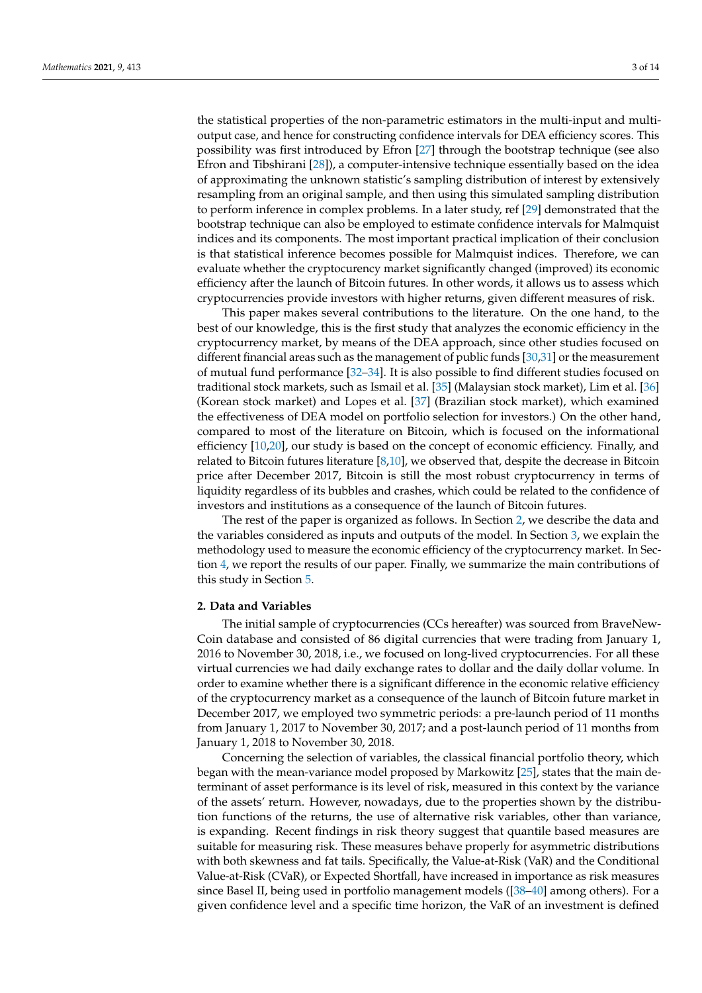the statistical properties of the non-parametric estimators in the multi-input and multioutput case, and hence for constructing confidence intervals for DEA efficiency scores. This possibility was first introduced by Efron [\[27\]](#page-12-19) through the bootstrap technique (see also Efron and Tibshirani [\[28\]](#page-12-20)), a computer-intensive technique essentially based on the idea of approximating the unknown statistic's sampling distribution of interest by extensively resampling from an original sample, and then using this simulated sampling distribution to perform inference in complex problems. In a later study, ref [\[29\]](#page-12-21) demonstrated that the bootstrap technique can also be employed to estimate confidence intervals for Malmquist indices and its components. The most important practical implication of their conclusion is that statistical inference becomes possible for Malmquist indices. Therefore, we can evaluate whether the cryptocurency market significantly changed (improved) its economic efficiency after the launch of Bitcoin futures. In other words, it allows us to assess which cryptocurrencies provide investors with higher returns, given different measures of risk.

This paper makes several contributions to the literature. On the one hand, to the best of our knowledge, this is the first study that analyzes the economic efficiency in the cryptocurrency market, by means of the DEA approach, since other studies focused on different financial areas such as the management of public funds [\[30,](#page-12-22)[31\]](#page-12-23) or the measurement of mutual fund performance [\[32](#page-12-24)[–34\]](#page-12-25). It is also possible to find different studies focused on traditional stock markets, such as Ismail et al. [\[35\]](#page-12-26) (Malaysian stock market), Lim et al. [\[36\]](#page-12-27) (Korean stock market) and Lopes et al. [\[37\]](#page-12-28) (Brazilian stock market), which examined the effectiveness of DEA model on portfolio selection for investors.) On the other hand, compared to most of the literature on Bitcoin, which is focused on the informational efficiency [\[10,](#page-12-4)[20\]](#page-12-29), our study is based on the concept of economic efficiency. Finally, and related to Bitcoin futures literature [\[8,](#page-12-3)[10\]](#page-12-4), we observed that, despite the decrease in Bitcoin price after December 2017, Bitcoin is still the most robust cryptocurrency in terms of liquidity regardless of its bubbles and crashes, which could be related to the confidence of investors and institutions as a consequence of the launch of Bitcoin futures.

The rest of the paper is organized as follows. In Section [2,](#page-2-0) we describe the data and the variables considered as inputs and outputs of the model. In Section [3,](#page-4-0) we explain the methodology used to measure the economic efficiency of the cryptocurrency market. In Section [4,](#page-7-0) we report the results of our paper. Finally, we summarize the main contributions of this study in Section [5.](#page-11-4)

#### <span id="page-2-0"></span>**2. Data and Variables**

The initial sample of cryptocurrencies (CCs hereafter) was sourced from BraveNew-Coin database and consisted of 86 digital currencies that were trading from January 1, 2016 to November 30, 2018, i.e., we focused on long-lived cryptocurrencies. For all these virtual currencies we had daily exchange rates to dollar and the daily dollar volume. In order to examine whether there is a significant difference in the economic relative efficiency of the cryptocurrency market as a consequence of the launch of Bitcoin future market in December 2017, we employed two symmetric periods: a pre-launch period of 11 months from January 1, 2017 to November 30, 2017; and a post-launch period of 11 months from January 1, 2018 to November 30, 2018.

Concerning the selection of variables, the classical financial portfolio theory, which began with the mean-variance model proposed by Markowitz [\[25\]](#page-12-17), states that the main determinant of asset performance is its level of risk, measured in this context by the variance of the assets' return. However, nowadays, due to the properties shown by the distribution functions of the returns, the use of alternative risk variables, other than variance, is expanding. Recent findings in risk theory suggest that quantile based measures are suitable for measuring risk. These measures behave properly for asymmetric distributions with both skewness and fat tails. Specifically, the Value-at-Risk (VaR) and the Conditional Value-at-Risk (CVaR), or Expected Shortfall, have increased in importance as risk measures since Basel II, being used in portfolio management models ([\[38–](#page-12-30)[40\]](#page-12-31) among others). For a given confidence level and a specific time horizon, the VaR of an investment is defined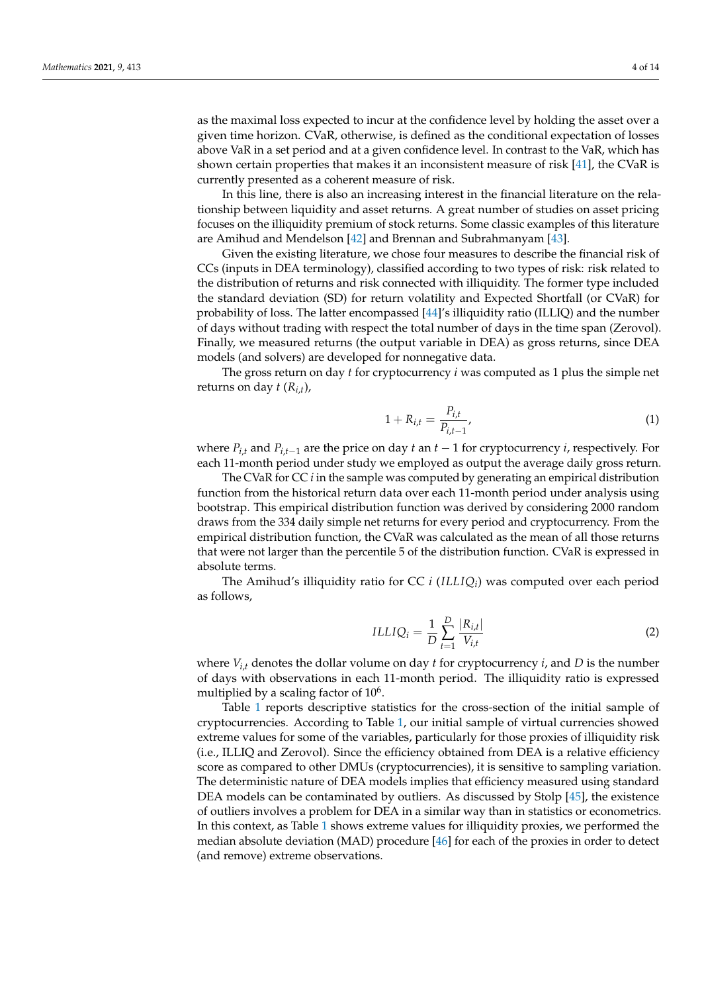as the maximal loss expected to incur at the confidence level by holding the asset over a given time horizon. CVaR, otherwise, is defined as the conditional expectation of losses above VaR in a set period and at a given confidence level. In contrast to the VaR, which has shown certain properties that makes it an inconsistent measure of risk [\[41\]](#page-12-32), the CVaR is currently presented as a coherent measure of risk.

In this line, there is also an increasing interest in the financial literature on the relationship between liquidity and asset returns. A great number of studies on asset pricing focuses on the illiquidity premium of stock returns. Some classic examples of this literature are Amihud and Mendelson [\[42\]](#page-12-33) and Brennan and Subrahmanyam [\[43\]](#page-13-0).

Given the existing literature, we chose four measures to describe the financial risk of CCs (inputs in DEA terminology), classified according to two types of risk: risk related to the distribution of returns and risk connected with illiquidity. The former type included the standard deviation (SD) for return volatility and Expected Shortfall (or CVaR) for probability of loss. The latter encompassed [\[44\]](#page-13-1)'s illiquidity ratio (ILLIQ) and the number of days without trading with respect the total number of days in the time span (Zerovol). Finally, we measured returns (the output variable in DEA) as gross returns, since DEA models (and solvers) are developed for nonnegative data.

The gross return on day *t* for cryptocurrency *i* was computed as 1 plus the simple net returns on day *t* (*Ri*,*<sup>t</sup>* ),

$$
1 + R_{i,t} = \frac{P_{i,t}}{P_{i,t-1}},
$$
\n(1)

where  $P_{i,t}$  and  $P_{i,t-1}$  are the price on day *t* an  $t-1$  for cryptocurrency *i*, respectively. For each 11-month period under study we employed as output the average daily gross return.

The CVaR for CC *i* in the sample was computed by generating an empirical distribution function from the historical return data over each 11-month period under analysis using bootstrap. This empirical distribution function was derived by considering 2000 random draws from the 334 daily simple net returns for every period and cryptocurrency. From the empirical distribution function, the CVaR was calculated as the mean of all those returns that were not larger than the percentile 5 of the distribution function. CVaR is expressed in absolute terms.

The Amihud's illiquidity ratio for CC *i* (*ILLIQ<sup>i</sup>* ) was computed over each period as follows,

$$
ILLIQ_i = \frac{1}{D} \sum_{t=1}^{D} \frac{|R_{i,t}|}{V_{i,t}}
$$
 (2)

where  $V_{i,t}$  denotes the dollar volume on day  $t$  for cryptocurrency  $i$ , and  $D$  is the number of days with observations in each 11-month period. The illiquidity ratio is expressed multiplied by a scaling factor of  $10^6$ .

Table [1](#page-4-1) reports descriptive statistics for the cross-section of the initial sample of cryptocurrencies. According to Table [1,](#page-4-1) our initial sample of virtual currencies showed extreme values for some of the variables, particularly for those proxies of illiquidity risk (i.e., ILLIQ and Zerovol). Since the efficiency obtained from DEA is a relative efficiency score as compared to other DMUs (cryptocurrencies), it is sensitive to sampling variation. The deterministic nature of DEA models implies that efficiency measured using standard DEA models can be contaminated by outliers. As discussed by Stolp [\[45\]](#page-13-2), the existence of outliers involves a problem for DEA in a similar way than in statistics or econometrics. In this context, as Table [1](#page-4-1) shows extreme values for illiquidity proxies, we performed the median absolute deviation (MAD) procedure [\[46\]](#page-13-3) for each of the proxies in order to detect (and remove) extreme observations.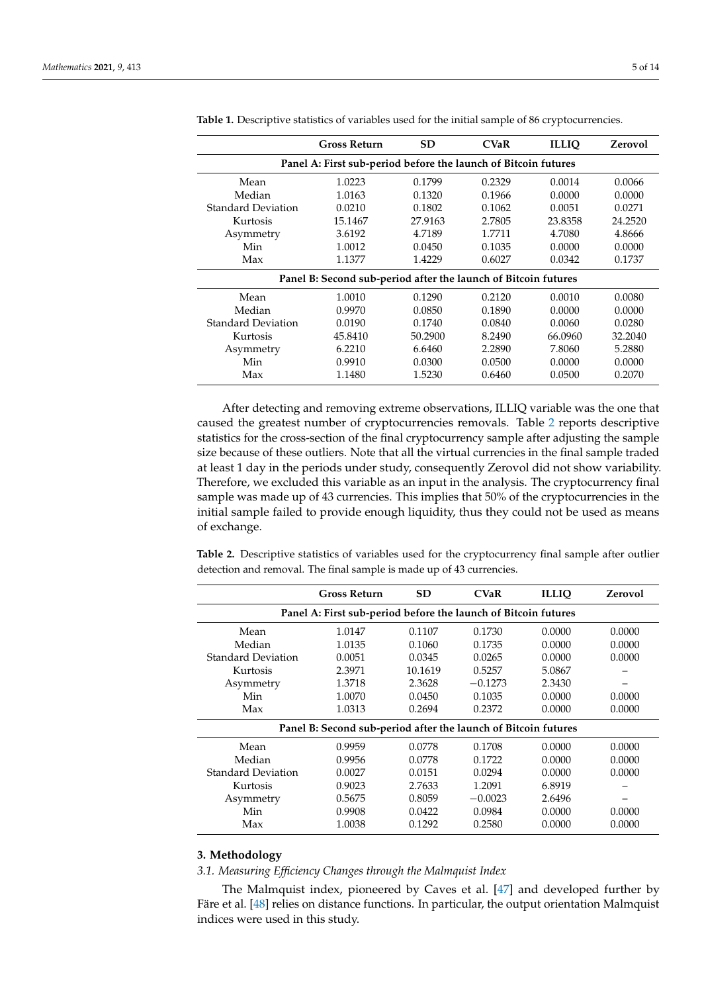|                                                                | <b>Gross Return</b> | <b>SD</b> | <b>CVaR</b> | <b>ILLIO</b> | Zerovol |  |  |  |
|----------------------------------------------------------------|---------------------|-----------|-------------|--------------|---------|--|--|--|
| Panel A: First sub-period before the launch of Bitcoin futures |                     |           |             |              |         |  |  |  |
| Mean                                                           | 1.0223              | 0.1799    | 0.2329      | 0.0014       | 0.0066  |  |  |  |
| Median                                                         | 1.0163              | 0.1320    | 0.1966      | 0.0000       | 0.0000  |  |  |  |
| <b>Standard Deviation</b>                                      | 0.0210              | 0.1802    | 0.1062      | 0.0051       | 0.0271  |  |  |  |
| Kurtosis                                                       | 15.1467             | 27.9163   | 2.7805      | 23.8358      | 24.2520 |  |  |  |
| Asymmetry                                                      | 3.6192              | 4.7189    | 1.7711      | 4.7080       | 4.8666  |  |  |  |
| Min                                                            | 1.0012              | 0.0450    | 0.1035      | 0.0000       | 0.0000  |  |  |  |
| Max                                                            | 1.1377              | 1.4229    | 0.6027      | 0.0342       | 0.1737  |  |  |  |
| Panel B: Second sub-period after the launch of Bitcoin futures |                     |           |             |              |         |  |  |  |
| Mean                                                           | 1.0010              | 0.1290    | 0.2120      | 0.0010       | 0.0080  |  |  |  |
| Median                                                         | 0.9970              | 0.0850    | 0.1890      | 0.0000       | 0.0000  |  |  |  |
| <b>Standard Deviation</b>                                      | 0.0190              | 0.1740    | 0.0840      | 0.0060       | 0.0280  |  |  |  |
| Kurtosis                                                       | 45.8410             | 50.2900   | 8.2490      | 66.0960      | 32.2040 |  |  |  |
| Asymmetry                                                      | 6.2210              | 6.6460    | 2.2890      | 7.8060       | 5.2880  |  |  |  |
| Min                                                            | 0.9910              | 0.0300    | 0.0500      | 0.0000       | 0.0000  |  |  |  |
| Max                                                            | 1.1480              | 1.5230    | 0.6460      | 0.0500       | 0.2070  |  |  |  |

<span id="page-4-1"></span>**Table 1.** Descriptive statistics of variables used for the initial sample of 86 cryptocurrencies.

After detecting and removing extreme observations, ILLIQ variable was the one that caused the greatest number of cryptocurrencies removals. Table [2](#page-4-2) reports descriptive statistics for the cross-section of the final cryptocurrency sample after adjusting the sample size because of these outliers. Note that all the virtual currencies in the final sample traded at least 1 day in the periods under study, consequently Zerovol did not show variability. Therefore, we excluded this variable as an input in the analysis. The cryptocurrency final sample was made up of 43 currencies. This implies that 50% of the cryptocurrencies in the initial sample failed to provide enough liquidity, thus they could not be used as means of exchange.

<span id="page-4-2"></span>**Table 2.** Descriptive statistics of variables used for the cryptocurrency final sample after outlier detection and removal. The final sample is made up of 43 currencies.

|                                                                | <b>Gross Return</b>                                            | <b>SD</b> | <b>CVaR</b> | <b>ILLIO</b> | Zerovol |  |  |
|----------------------------------------------------------------|----------------------------------------------------------------|-----------|-------------|--------------|---------|--|--|
| Panel A: First sub-period before the launch of Bitcoin futures |                                                                |           |             |              |         |  |  |
| Mean                                                           | 1.0147                                                         | 0.1107    | 0.1730      | 0.0000       | 0.0000  |  |  |
| Median                                                         | 1.0135                                                         | 0.1060    | 0.1735      | 0.0000       | 0.0000  |  |  |
| <b>Standard Deviation</b>                                      | 0.0051                                                         | 0.0345    | 0.0265      | 0.0000       | 0.0000  |  |  |
| Kurtosis                                                       | 2.3971                                                         | 10.1619   | 0.5257      | 5.0867       |         |  |  |
| Asymmetry                                                      | 1.3718                                                         | 2.3628    | $-0.1273$   | 2.3430       |         |  |  |
| Min                                                            | 1.0070                                                         | 0.0450    | 0.1035      | 0.0000       | 0.0000  |  |  |
| Max                                                            | 1.0313                                                         | 0.2694    | 0.2372      | 0.0000       | 0.0000  |  |  |
|                                                                | Panel B: Second sub-period after the launch of Bitcoin futures |           |             |              |         |  |  |
| Mean                                                           | 0.9959                                                         | 0.0778    | 0.1708      | 0.0000       | 0.0000  |  |  |
| Median                                                         | 0.9956                                                         | 0.0778    | 0.1722      | 0.0000       | 0.0000  |  |  |
| <b>Standard Deviation</b>                                      | 0.0027                                                         | 0.0151    | 0.0294      | 0.0000       | 0.0000  |  |  |
| Kurtosis                                                       | 0.9023                                                         | 2.7633    | 1.2091      | 6.8919       |         |  |  |
| Asymmetry                                                      | 0.5675                                                         | 0.8059    | $-0.0023$   | 2.6496       |         |  |  |
| Min                                                            | 0.9908                                                         | 0.0422    | 0.0984      | 0.0000       | 0.0000  |  |  |
| Max                                                            | 1.0038                                                         | 0.1292    | 0.2580      | 0.0000       | 0.0000  |  |  |

# <span id="page-4-0"></span>**3. Methodology**

*3.1. Measuring Efficiency Changes through the Malmquist Index*

The Malmquist index, pioneered by Caves et al. [\[47\]](#page-13-4) and developed further by Färe et al. [\[48\]](#page-13-5) relies on distance functions. In particular, the output orientation Malmquist indices were used in this study.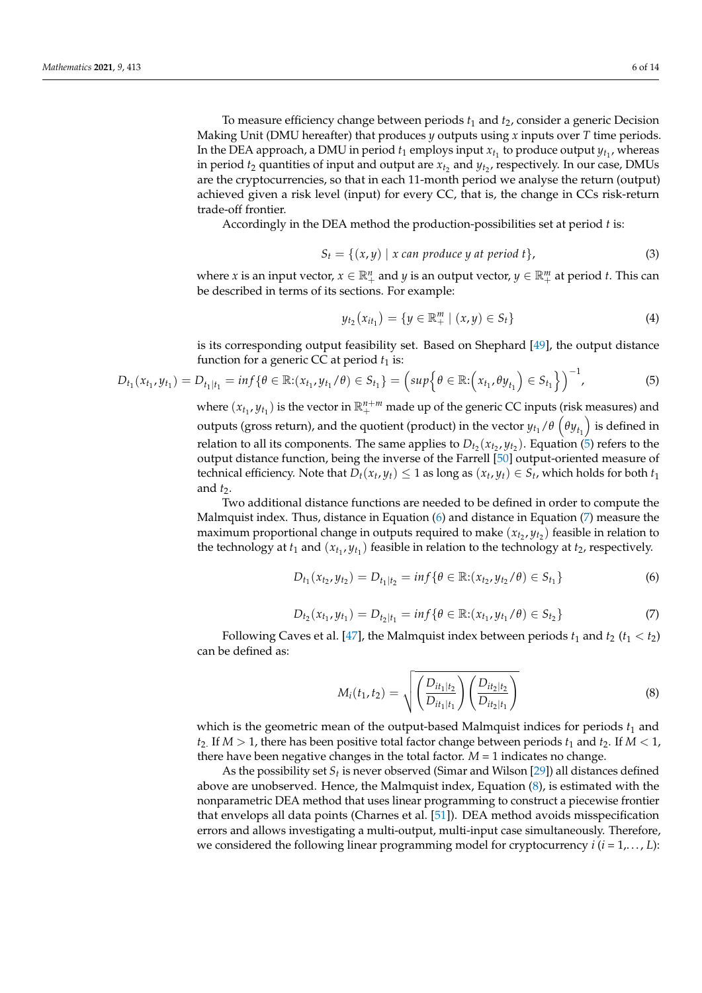To measure efficiency change between periods  $t_1$  and  $t_2$ , consider a generic Decision Making Unit (DMU hereafter) that produces *y* outputs using *x* inputs over *T* time periods. In the DEA approach, a DMU in period  $t_1$  employs input  $x_{t_1}$  to produce output  $y_{t_1}$ , whereas in period  $t_2$  quantities of input and output are  $x_{t_2}$  and  $y_{t_2}$ , respectively. In our case, DMUs are the cryptocurrencies, so that in each 11-month period we analyse the return (output) achieved given a risk level (input) for every CC, that is, the change in CCs risk-return trade-off frontier.

Accordingly in the DEA method the production-possibilities set at period *t* is:

$$
S_t = \{(x, y) \mid x \text{ can produce } y \text{ at period } t\},\tag{3}
$$

where *x* is an input vector,  $x \in \mathbb{R}^n_+$  and *y* is an output vector,  $y \in \mathbb{R}^m_+$  at period *t*. This can be described in terms of its sections. For example:

$$
y_{t_2}(x_{it_1}) = \{ y \in \mathbb{R}^m_+ \mid (x, y) \in S_t \}
$$
 (4)

is its corresponding output feasibility set. Based on Shephard [\[49\]](#page-13-6), the output distance function for a generic CC at period  $t_1$  is:

<span id="page-5-0"></span>
$$
D_{t_1}(x_{t_1}, y_{t_1}) = D_{t_1|t_1} = inf\{\theta \in \mathbb{R}: (x_{t_1}, y_{t_1}/\theta) \in S_{t_1}\} = \left(sup\{\theta \in \mathbb{R}: (x_{t_1}, \theta y_{t_1}) \in S_{t_1}\}\right)^{-1},
$$
\n(5)

where  $(x_{t_1}, y_{t_1})$  is the vector in  $\mathbb{R}^{n+m}_+$  made up of the generic CC inputs (risk measures) and outputs (gross return), and the quotient (product) in the vector  $y_{t_1}/\theta\left(\theta y_{t_1}\right)$  is defined in relation to all its components. The same applies to  $D_{t_2}(x_{t_2}, y_{t_2})$ . Equation [\(5\)](#page-5-0) refers to the output distance function, being the inverse of the Farrell [\[50\]](#page-13-7) output-oriented measure of technical efficiency. Note that  $D_t(x_t, y_t) \leq 1$  as long as  $(x_t, y_t) \in S_t$ , which holds for both  $t_1$ and *t*2.

Two additional distance functions are needed to be defined in order to compute the Malmquist index. Thus, distance in Equation [\(6\)](#page-5-1) and distance in Equation [\(7\)](#page-5-2) measure the maximum proportional change in outputs required to make  $(x_{t_2}, y_{t_2})$  feasible in relation to the technology at  $t_1$  and  $(x_{t_1}, y_{t_1})$  feasible in relation to the technology at  $t_2$ , respectively.

<span id="page-5-1"></span>
$$
D_{t_1}(x_{t_2}, y_{t_2}) = D_{t_1|t_2} = \inf \{ \theta \in \mathbb{R} : (x_{t_2}, y_{t_2}/\theta) \in S_{t_1} \}
$$
(6)

<span id="page-5-2"></span>
$$
D_{t_2}(x_{t_1}, y_{t_1}) = D_{t_2|t_1} = \inf \{ \theta \in \mathbb{R} : (x_{t_1}, y_{t_1}/\theta) \in S_{t_2} \}
$$
(7)

Following Caves et al. [\[47\]](#page-13-4), the Malmquist index between periods  $t_1$  and  $t_2$  ( $t_1 < t_2$ ) can be defined as:

<span id="page-5-3"></span>
$$
M_i(t_1, t_2) = \sqrt{\left(\frac{D_{it_1|t_2}}{D_{it_1|t_1}}\right)\left(\frac{D_{it_2|t_2}}{D_{it_2|t_1}}\right)}
$$
(8)

which is the geometric mean of the output-based Malmquist indices for periods  $t_1$  and  $t_2$ . If  $M > 1$ , there has been positive total factor change between periods  $t_1$  and  $t_2$ . If  $M < 1$ , there have been negative changes in the total factor.  $M = 1$  indicates no change.

As the possibility set  $S_t$  is never observed (Simar and Wilson [\[29\]](#page-12-21)) all distances defined above are unobserved. Hence, the Malmquist index, Equation [\(8\)](#page-5-3), is estimated with the nonparametric DEA method that uses linear programming to construct a piecewise frontier that envelops all data points (Charnes et al. [\[51\]](#page-13-8)). DEA method avoids misspecification errors and allows investigating a multi-output, multi-input case simultaneously. Therefore, we considered the following linear programming model for cryptocurrency *i* (*i* = 1,. . . , *L*):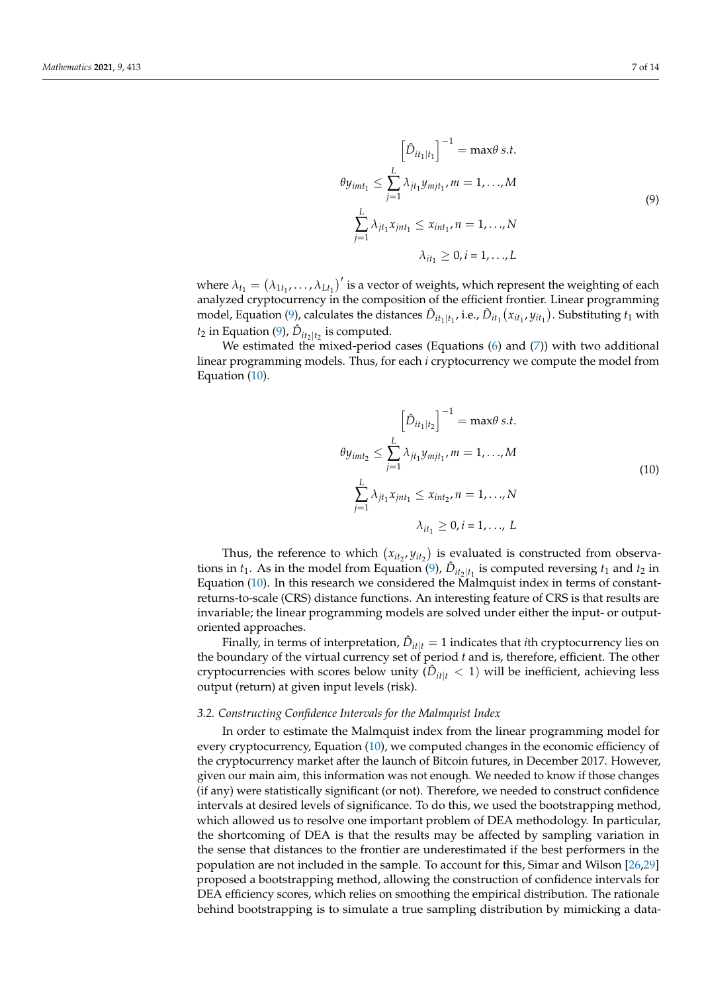$$
\left[\hat{D}_{it_1|t_1}\right]^{-1} = \max \theta \, s.t.
$$
\n
$$
\theta y_{imt_1} \le \sum_{j=1}^{L} \lambda_{jt_1} y_{mjt_1}, \, m = 1, \dots, M
$$
\n
$$
\sum_{j=1}^{L} \lambda_{jt_1} x_{jnt_1} \le x_{imt_1}, \, n = 1, \dots, N
$$
\n
$$
\lambda_{it_1} \ge 0, \, i = 1, \dots, L
$$
\n(9)

<span id="page-6-0"></span>where  $\lambda_{t_1} = (\lambda_{1t_1}, \dots, \lambda_{Lt_1})'$  is a vector of weights, which represent the weighting of each analyzed cryptocurrency in the composition of the efficient frontier. Linear programming model, Equation [\(9\)](#page-6-0), calculates the distances  $\hat{D}_{it_1|t_1}$ , i.e.,  $\hat{D}_{it_1}(x_{it_1},y_{it_1})$ . Substituting  $t_1$  with  $t_2$  in Equation [\(9\)](#page-6-0),  $\hat{D}_{it_2|t_2}$  is computed.

We estimated the mixed-period cases (Equations  $(6)$  and  $(7)$ ) with two additional linear programming models. Thus, for each *i* cryptocurrency we compute the model from Equation [\(10\)](#page-6-1).

$$
\left[\hat{D}_{it_1|t_2}\right]^{-1} = \max \theta \, s.t.
$$
\n
$$
\theta y_{imt_2} \le \sum_{j=1}^{L} \lambda_{jt_1} y_{mjt_1}, \, m = 1, \dots, M
$$
\n
$$
\sum_{j=1}^{L} \lambda_{jt_1} x_{jnt_1} \le x_{int_2}, \, n = 1, \dots, N
$$
\n
$$
\lambda_{it_1} \ge 0, \, i = 1, \dots, L
$$
\n(10)

<span id="page-6-1"></span>Thus, the reference to which  $(x_{it_2}, y_{it_2})$  is evaluated is constructed from observations in  $t_1$ . As in the model from Equation [\(9\)](#page-6-0),  $\hat{D}_{it_2|t_1}$  is computed reversing  $t_1$  and  $t_2$  in Equation [\(10\)](#page-6-1). In this research we considered the Malmquist index in terms of constantreturns-to-scale (CRS) distance functions. An interesting feature of CRS is that results are invariable; the linear programming models are solved under either the input- or outputoriented approaches.

Finally, in terms of interpretation,  $\hat{D}_{it|t} = 1$  indicates that *i*th cryptocurrency lies on the boundary of the virtual currency set of period *t* and is, therefore, efficient. The other cryptocurrencies with scores below unity  $(\hat{D}_{it}|t} < 1)$  will be inefficient, achieving less output (return) at given input levels (risk).

#### *3.2. Constructing Confidence Intervals for the Malmquist Index*

In order to estimate the Malmquist index from the linear programming model for every cryptocurrency, Equation [\(10\)](#page-6-1), we computed changes in the economic efficiency of the cryptocurrency market after the launch of Bitcoin futures, in December 2017. However, given our main aim, this information was not enough. We needed to know if those changes (if any) were statistically significant (or not). Therefore, we needed to construct confidence intervals at desired levels of significance. To do this, we used the bootstrapping method, which allowed us to resolve one important problem of DEA methodology. In particular, the shortcoming of DEA is that the results may be affected by sampling variation in the sense that distances to the frontier are underestimated if the best performers in the population are not included in the sample. To account for this, Simar and Wilson [\[26](#page-12-18)[,29\]](#page-12-21) proposed a bootstrapping method, allowing the construction of confidence intervals for DEA efficiency scores, which relies on smoothing the empirical distribution. The rationale behind bootstrapping is to simulate a true sampling distribution by mimicking a data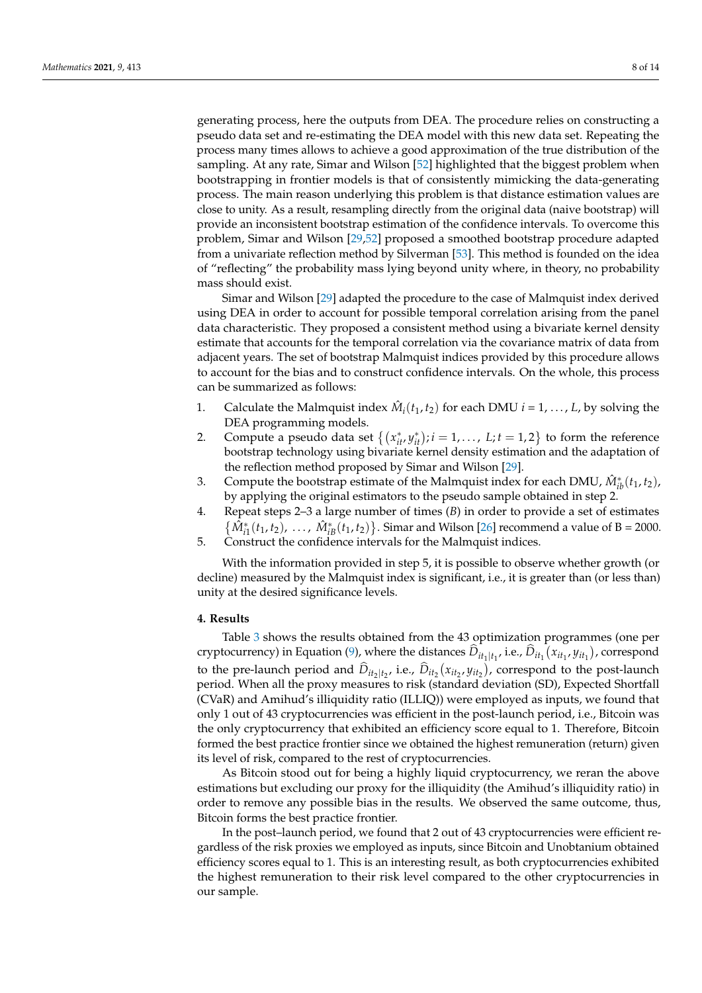generating process, here the outputs from DEA. The procedure relies on constructing a pseudo data set and re-estimating the DEA model with this new data set. Repeating the process many times allows to achieve a good approximation of the true distribution of the sampling. At any rate, Simar and Wilson [\[52\]](#page-13-9) highlighted that the biggest problem when bootstrapping in frontier models is that of consistently mimicking the data-generating process. The main reason underlying this problem is that distance estimation values are close to unity. As a result, resampling directly from the original data (naive bootstrap) will provide an inconsistent bootstrap estimation of the confidence intervals. To overcome this problem, Simar and Wilson [\[29,](#page-12-21)[52\]](#page-13-9) proposed a smoothed bootstrap procedure adapted from a univariate reflection method by Silverman [\[53\]](#page-13-10). This method is founded on the idea of "reflecting" the probability mass lying beyond unity where, in theory, no probability mass should exist.

Simar and Wilson [\[29\]](#page-12-21) adapted the procedure to the case of Malmquist index derived using DEA in order to account for possible temporal correlation arising from the panel data characteristic. They proposed a consistent method using a bivariate kernel density estimate that accounts for the temporal correlation via the covariance matrix of data from adjacent years. The set of bootstrap Malmquist indices provided by this procedure allows to account for the bias and to construct confidence intervals. On the whole, this process can be summarized as follows:

- 1. Calculate the Malmquist index  $\hat{M}_i(t_1, t_2)$  for each DMU  $i = 1, ..., L$ , by solving the DEA programming models.
- 2. Compute a pseudo data set  $\{(x_{it}^*, y_{it}^*); i = 1, \ldots, L; t = 1, 2\}$  to form the reference bootstrap technology using bivariate kernel density estimation and the adaptation of the reflection method proposed by Simar and Wilson [\[29\]](#page-12-21).
- 3. Compute the bootstrap estimate of the Malmquist index for each DMU,  $\hat{M}_{ib}^*(t_1, t_2)$ , by applying the original estimators to the pseudo sample obtained in step 2.
- 4. Repeat steps 2–3 a large number of times (*B*) in order to provide a set of estimates  $\{\hat{M}_{i1}^*(t_1, t_2), \ldots, \hat{M}_{iB}^*(t_1, t_2)\}$ . Simar and Wilson [\[26\]](#page-12-18) recommend a value of B = 2000.
- 5. Construct the confidence intervals for the Malmquist indices.

With the information provided in step 5, it is possible to observe whether growth (or decline) measured by the Malmquist index is significant, i.e., it is greater than (or less than) unity at the desired significance levels.

#### <span id="page-7-0"></span>**4. Results**

Table [3](#page-8-0) shows the results obtained from the 43 optimization programmes (one per cryptocurrency) in Equation [\(9\)](#page-6-0), where the distances  $\hat{D}_{it_1|t_1}$ , i.e.,  $\hat{D}_{it_1}(x_{it_1}, y_{it_1})$ , correspond to the pre-launch period and  $\hat{D}_{it_2|t_2}$ , i.e.,  $\hat{D}_{it_2}(x_{it_2}, y_{it_2})$ , correspond to the post-launch period. When all the proxy measures to risk (standard deviation (SD), Expected Shortfall (CVaR) and Amihud's illiquidity ratio (ILLIQ)) were employed as inputs, we found that only 1 out of 43 cryptocurrencies was efficient in the post-launch period, i.e., Bitcoin was the only cryptocurrency that exhibited an efficiency score equal to 1. Therefore, Bitcoin formed the best practice frontier since we obtained the highest remuneration (return) given its level of risk, compared to the rest of cryptocurrencies.

As Bitcoin stood out for being a highly liquid cryptocurrency, we reran the above estimations but excluding our proxy for the illiquidity (the Amihud's illiquidity ratio) in order to remove any possible bias in the results. We observed the same outcome, thus, Bitcoin forms the best practice frontier.

In the post–launch period, we found that 2 out of 43 cryptocurrencies were efficient regardless of the risk proxies we employed as inputs, since Bitcoin and Unobtanium obtained efficiency scores equal to 1. This is an interesting result, as both cryptocurrencies exhibited the highest remuneration to their risk level compared to the other cryptocurrencies in our sample.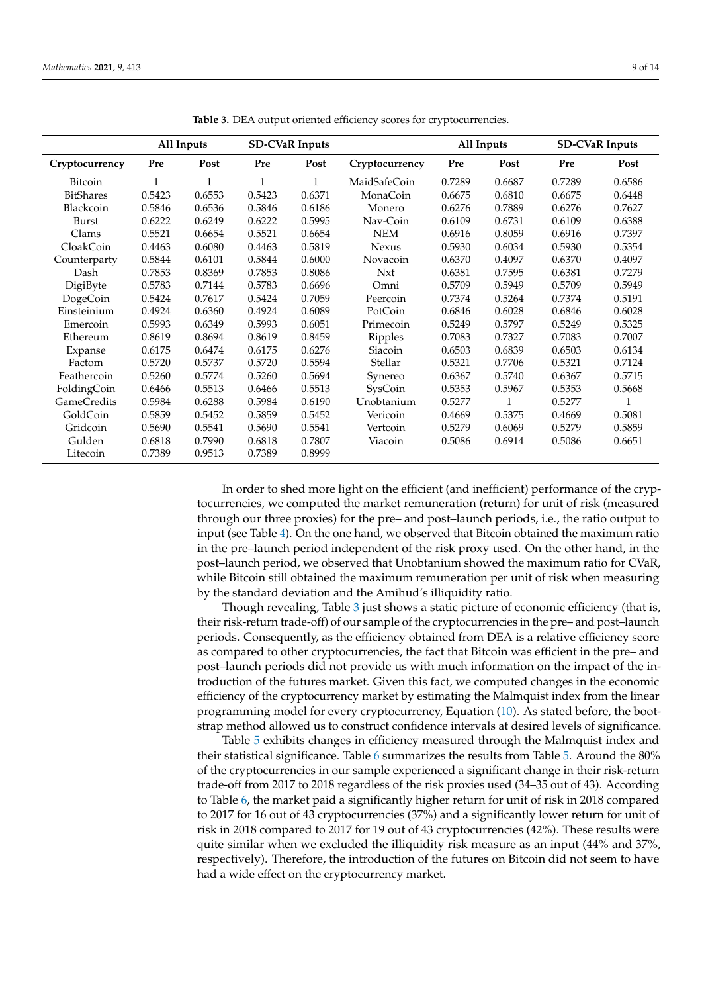<span id="page-8-0"></span>

|                    |              | All Inputs | <b>SD-CVaR Inputs</b> |        |                | All Inputs |        |        | <b>SD-CVaR Inputs</b> |
|--------------------|--------------|------------|-----------------------|--------|----------------|------------|--------|--------|-----------------------|
| Cryptocurrency     | Pre          | Post       | Pre                   | Post   | Cryptocurrency | Pre        | Post   | Pre    | Post                  |
| <b>Bitcoin</b>     | $\mathbf{1}$ | 1          | 1                     | 1      | MaidSafeCoin   | 0.7289     | 0.6687 | 0.7289 | 0.6586                |
| <b>BitShares</b>   | 0.5423       | 0.6553     | 0.5423                | 0.6371 | MonaCoin       | 0.6675     | 0.6810 | 0.6675 | 0.6448                |
| Blackcoin          | 0.5846       | 0.6536     | 0.5846                | 0.6186 | Monero         | 0.6276     | 0.7889 | 0.6276 | 0.7627                |
| Burst              | 0.6222       | 0.6249     | 0.6222                | 0.5995 | Nav-Coin       | 0.6109     | 0.6731 | 0.6109 | 0.6388                |
| Clams              | 0.5521       | 0.6654     | 0.5521                | 0.6654 | <b>NEM</b>     | 0.6916     | 0.8059 | 0.6916 | 0.7397                |
| CloakCoin          | 0.4463       | 0.6080     | 0.4463                | 0.5819 | <b>Nexus</b>   | 0.5930     | 0.6034 | 0.5930 | 0.5354                |
| Counterparty       | 0.5844       | 0.6101     | 0.5844                | 0.6000 | Novacoin       | 0.6370     | 0.4097 | 0.6370 | 0.4097                |
| Dash               | 0.7853       | 0.8369     | 0.7853                | 0.8086 | Nxt            | 0.6381     | 0.7595 | 0.6381 | 0.7279                |
| DigiByte           | 0.5783       | 0.7144     | 0.5783                | 0.6696 | Omni           | 0.5709     | 0.5949 | 0.5709 | 0.5949                |
| DogeCoin           | 0.5424       | 0.7617     | 0.5424                | 0.7059 | Peercoin       | 0.7374     | 0.5264 | 0.7374 | 0.5191                |
| Einsteinium        | 0.4924       | 0.6360     | 0.4924                | 0.6089 | PotCoin        | 0.6846     | 0.6028 | 0.6846 | 0.6028                |
| Emercoin           | 0.5993       | 0.6349     | 0.5993                | 0.6051 | Primecoin      | 0.5249     | 0.5797 | 0.5249 | 0.5325                |
| Ethereum           | 0.8619       | 0.8694     | 0.8619                | 0.8459 | Ripples        | 0.7083     | 0.7327 | 0.7083 | 0.7007                |
| Expanse            | 0.6175       | 0.6474     | 0.6175                | 0.6276 | Siacoin        | 0.6503     | 0.6839 | 0.6503 | 0.6134                |
| Factom             | 0.5720       | 0.5737     | 0.5720                | 0.5594 | Stellar        | 0.5321     | 0.7706 | 0.5321 | 0.7124                |
| Feathercoin        | 0.5260       | 0.5774     | 0.5260                | 0.5694 | Synereo        | 0.6367     | 0.5740 | 0.6367 | 0.5715                |
| FoldingCoin        | 0.6466       | 0.5513     | 0.6466                | 0.5513 | SysCoin        | 0.5353     | 0.5967 | 0.5353 | 0.5668                |
| <b>GameCredits</b> | 0.5984       | 0.6288     | 0.5984                | 0.6190 | Unobtanium     | 0.5277     |        | 0.5277 |                       |
| GoldCoin           | 0.5859       | 0.5452     | 0.5859                | 0.5452 | Vericoin       | 0.4669     | 0.5375 | 0.4669 | 0.5081                |
| Gridcoin           | 0.5690       | 0.5541     | 0.5690                | 0.5541 | Vertcoin       | 0.5279     | 0.6069 | 0.5279 | 0.5859                |
| Gulden             | 0.6818       | 0.7990     | 0.6818                | 0.7807 | Viacoin        | 0.5086     | 0.6914 | 0.5086 | 0.6651                |
| Litecoin           | 0.7389       | 0.9513     | 0.7389                | 0.8999 |                |            |        |        |                       |

**Table 3.** DEA output oriented efficiency scores for cryptocurrencies.

In order to shed more light on the efficient (and inefficient) performance of the cryptocurrencies, we computed the market remuneration (return) for unit of risk (measured through our three proxies) for the pre– and post–launch periods, i.e., the ratio output to input (see Table [4\)](#page-9-0). On the one hand, we observed that Bitcoin obtained the maximum ratio in the pre–launch period independent of the risk proxy used. On the other hand, in the post–launch period, we observed that Unobtanium showed the maximum ratio for CVaR, while Bitcoin still obtained the maximum remuneration per unit of risk when measuring by the standard deviation and the Amihud's illiquidity ratio.

Though revealing, Table [3](#page-8-0) just shows a static picture of economic efficiency (that is, their risk-return trade-off) of our sample of the cryptocurrencies in the pre– and post–launch periods. Consequently, as the efficiency obtained from DEA is a relative efficiency score as compared to other cryptocurrencies, the fact that Bitcoin was efficient in the pre– and post–launch periods did not provide us with much information on the impact of the introduction of the futures market. Given this fact, we computed changes in the economic efficiency of the cryptocurrency market by estimating the Malmquist index from the linear programming model for every cryptocurrency, Equation [\(10\)](#page-6-1). As stated before, the bootstrap method allowed us to construct confidence intervals at desired levels of significance.

Table [5](#page-10-0) exhibits changes in efficiency measured through the Malmquist index and their statistical significance. Table [6](#page-10-1) summarizes the results from Table [5.](#page-10-0) Around the 80% of the cryptocurrencies in our sample experienced a significant change in their risk-return trade-off from 2017 to 2018 regardless of the risk proxies used (34–35 out of 43). According to Table [6,](#page-10-1) the market paid a significantly higher return for unit of risk in 2018 compared to 2017 for 16 out of 43 cryptocurrencies (37%) and a significantly lower return for unit of risk in 2018 compared to 2017 for 19 out of 43 cryptocurrencies (42%). These results were quite similar when we excluded the illiquidity risk measure as an input (44% and 37%, respectively). Therefore, the introduction of the futures on Bitcoin did not seem to have had a wide effect on the cryptocurrency market.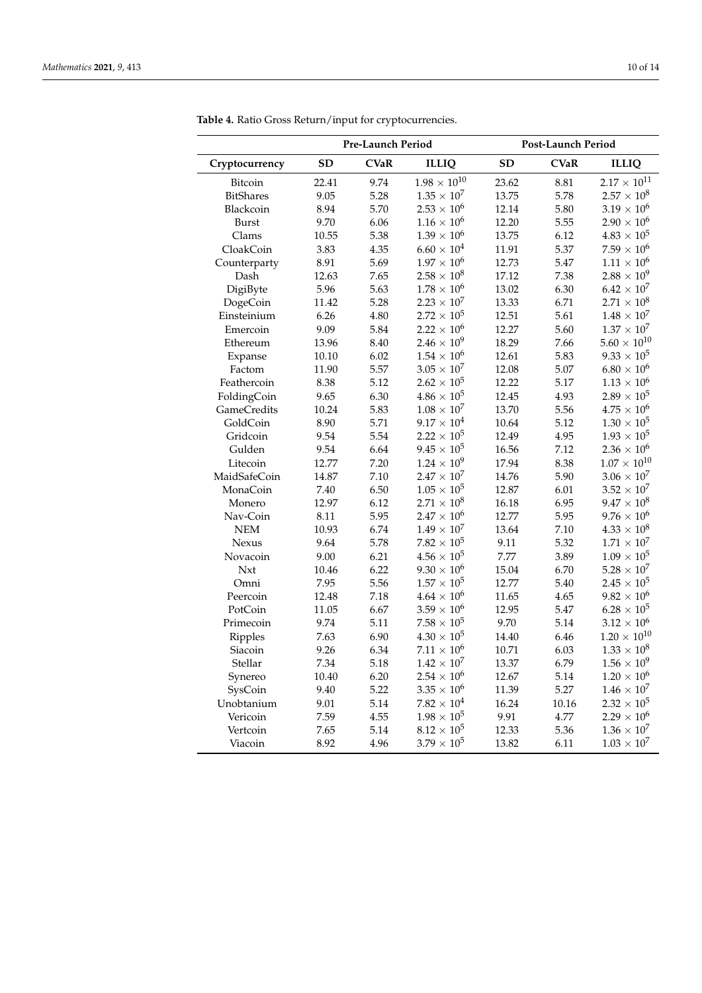$\overline{a}$ 

|                    | Pre-Launch Period |             |                      | Post-Launch Period |             |                       |  |
|--------------------|-------------------|-------------|----------------------|--------------------|-------------|-----------------------|--|
| Cryptocurrency     | <b>SD</b>         | <b>CVaR</b> | <b>ILLIQ</b>         | <b>SD</b>          | <b>CVaR</b> | <b>ILLIQ</b>          |  |
| Bitcoin            | 22.41             | 9.74        | $1.98\times10^{10}$  | 23.62              | 8.81        | $2.17 \times 10^{11}$ |  |
| <b>BitShares</b>   | 9.05              | 5.28        | $1.35 \times 10^{7}$ | 13.75              | 5.78        | $2.57 \times 10^{8}$  |  |
| Blackcoin          | 8.94              | 5.70        | $2.53 \times 10^{6}$ | 12.14              | 5.80        | $3.19 \times 10^{6}$  |  |
| <b>Burst</b>       | 9.70              | 6.06        | $1.16\times10^6$     | 12.20              | 5.55        | $2.90\times10^6$      |  |
| Clams              | 10.55             | 5.38        | $1.39\times10^6$     | 13.75              | 6.12        | $4.83 \times 10^{5}$  |  |
| CloakCoin          | 3.83              | 4.35        | $6.60 \times 10^{4}$ | 11.91              | 5.37        | $7.59 \times 10^{6}$  |  |
| Counterparty       | 8.91              | 5.69        | $1.97 \times 10^{6}$ | 12.73              | 5.47        | $1.11 \times 10^{6}$  |  |
| Dash               | 12.63             | 7.65        | $2.58\times10^8$     | 17.12              | 7.38        | $2.88 \times 10^{9}$  |  |
| DigiByte           | 5.96              | 5.63        | $1.78 \times 10^6$   | 13.02              | 6.30        | $6.42 \times 10^{7}$  |  |
| DogeCoin           | 11.42             | 5.28        | $2.23 \times 10^{7}$ | 13.33              | 6.71        | $2.71 \times 10^{8}$  |  |
| Einsteinium        | 6.26              | 4.80        | $2.72 \times 10^{5}$ | 12.51              | 5.61        | $1.48 \times 10^{7}$  |  |
| Emercoin           | 9.09              | 5.84        | $2.22\times10^6$     | 12.27              | 5.60        | $1.37\times10^7$      |  |
| Ethereum           | 13.96             | 8.40        | $2.46 \times 10^{9}$ | 18.29              | 7.66        | $5.60 \times 10^{10}$ |  |
| Expanse            | 10.10             | 6.02        | $1.54 \times 10^6$   | 12.61              | 5.83        | $9.33\times10^5$      |  |
| Factom             | 11.90             | 5.57        | $3.05\times10^7$     | 12.08              | 5.07        | $6.80 \times 10^{6}$  |  |
| Feathercoin        | 8.38              | 5.12        | $2.62 \times 10^{5}$ | 12.22              | 5.17        | $1.13\times10^6$      |  |
| FoldingCoin        | 9.65              | 6.30        | $4.86\times10^5$     | 12.45              | 4.93        | $2.89\times10^5$      |  |
| <b>GameCredits</b> | 10.24             | 5.83        | $1.08 \times 10^{7}$ | 13.70              | 5.56        | $4.75 \times 10^{6}$  |  |
| GoldCoin           | 8.90              | 5.71        | $9.17 \times 10^{4}$ | 10.64              | 5.12        | $1.30 \times 10^5$    |  |
| Gridcoin           | 9.54              | 5.54        | $2.22 \times 10^{5}$ | 12.49              | 4.95        | $1.93\times10^5$      |  |
| Gulden             | 9.54              | 6.64        | $9.45 \times 10^{5}$ | 16.56              | 7.12        | $2.36\times10^6$      |  |
| Litecoin           | 12.77             | 7.20        | $1.24 \times 10^{9}$ | 17.94              | 8.38        | $1.07\times10^{10}$   |  |
| MaidSafeCoin       | 14.87             | 7.10        | $2.47 \times 10^{7}$ | 14.76              | 5.90        | $3.06 \times 10^{7}$  |  |
| MonaCoin           | 7.40              | 6.50        | $1.05 \times 10^{5}$ | 12.87              | 6.01        | $3.52 \times 10^{7}$  |  |
| Monero             | 12.97             | 6.12        | $2.71 \times 10^{8}$ | 16.18              | 6.95        | $9.47\times10^8$      |  |
| Nav-Coin           | 8.11              | 5.95        | $2.47 \times 10^{6}$ | 12.77              | 5.95        | $9.76 \times 10^{6}$  |  |
| <b>NEM</b>         | 10.93             | 6.74        | $1.49 \times 10^{7}$ | 13.64              | 7.10        | $4.33 \times 10^{8}$  |  |
| Nexus              | 9.64              | 5.78        | $7.82 \times 10^{5}$ | 9.11               | 5.32        | $1.71 \times 10^{7}$  |  |
| Novacoin           | 9.00              | 6.21        | $4.56 \times 10^{5}$ | 7.77               | 3.89        | $1.09 \times 10^{5}$  |  |
| Nxt                | 10.46             | 6.22        | $9.30 \times 10^{6}$ | 15.04              | 6.70        | $5.28\times10^7$      |  |
| Omni               | 7.95              | 5.56        | $1.57\times10^5$     | 12.77              | 5.40        | $2.45\times10^5$      |  |
| Peercoin           | 12.48             | 7.18        | $4.64\times10^6$     | 11.65              | 4.65        | $9.82 \times 10^{6}$  |  |
| PotCoin            | 11.05             | 6.67        | $3.59 \times 10^{6}$ | 12.95              | 5.47        | $6.28 \times 10^{5}$  |  |
| Primecoin          | 9.74              | 5.11        | $7.58 \times 10^5$   | 9.70               | 5.14        | $3.12 \times 10^{6}$  |  |
| Ripples            | 7.63              | 6.90        | $4.30 \times 10^{5}$ | 14.40              | 6.46        | $1.20 \times 10^{10}$ |  |
| Siacoin            | 9.26              | 6.34        | $7.11\times10^6$     | 10.71              | 6.03        | $1.33 \times 10^{8}$  |  |
| Stellar            | 7.34              | 5.18        | $1.42 \times 10^{7}$ | 13.37              | 6.79        | $1.56 \times 10^{9}$  |  |
| Synereo            | 10.40             | 6.20        | $2.54 \times 10^{6}$ | 12.67              | 5.14        | $1.20 \times 10^{6}$  |  |
| SysCoin            | 9.40              | 5.22        | $3.35 \times 10^{6}$ | 11.39              | 5.27        | $1.46 \times 10^{7}$  |  |
| Unobtanium         | 9.01              | 5.14        | $7.82 \times 10^{4}$ | 16.24              | 10.16       | $2.32\times10^5$      |  |
| Vericoin           | 7.59              | 4.55        | $1.98 \times 10^5$   | 9.91               | 4.77        | $2.29 \times 10^{6}$  |  |
| Vertcoin           | 7.65              | 5.14        | $8.12 \times 10^{5}$ | 12.33              | 5.36        | $1.36 \times 10^{7}$  |  |
| Viacoin            | 8.92              | 4.96        | $3.79 \times 10^{5}$ | 13.82              | 6.11        | $1.03 \times 10^{7}$  |  |

<span id="page-9-0"></span>**Table 4.** Ratio Gross Return/input for cryptocurrencies.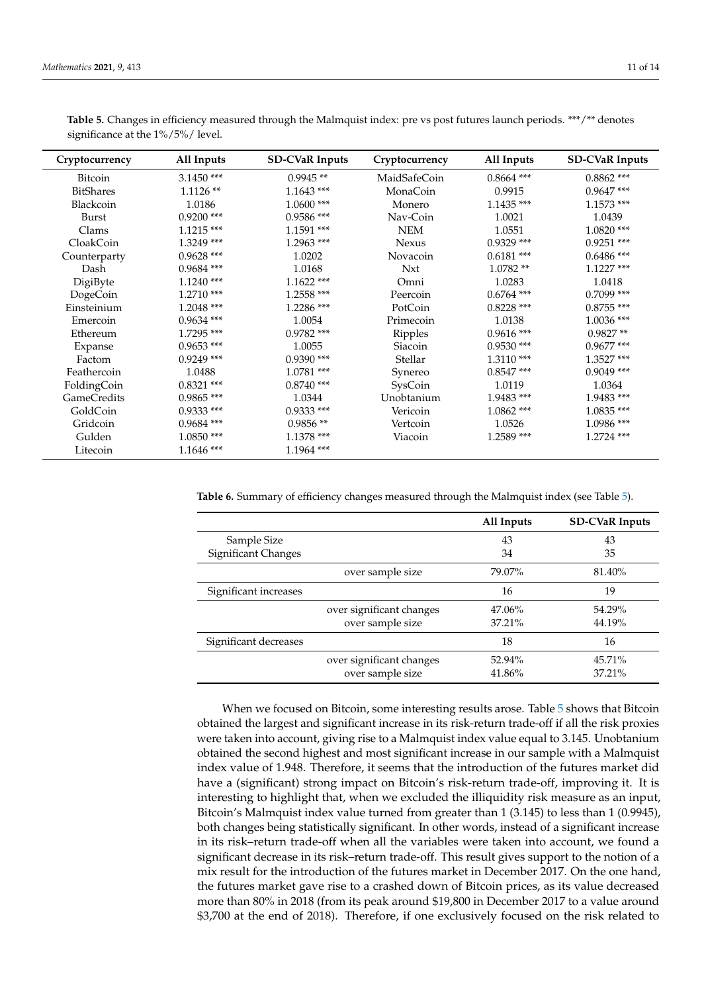| Cryptocurrency     | All Inputs   | <b>SD-CVaR Inputs</b> | Cryptocurrency | All Inputs   | <b>SD-CVaR Inputs</b> |
|--------------------|--------------|-----------------------|----------------|--------------|-----------------------|
| Bitcoin            | $3.1450$ *** | $0.9945**$            | MaidSafeCoin   | $0.8664$ *** | $0.8862$ ***          |
| <b>BitShares</b>   | $1.1126**$   | $1.1643$ ***          | MonaCoin       | 0.9915       | $0.9647$ ***          |
| Blackcoin          | 1.0186       | $1.0600$ ***          | Monero         | $1.1435***$  | $1.1573$ ***          |
| Burst              | $0.9200$ *** | $0.9586$ ***          | Nav-Coin       | 1.0021       | 1.0439                |
| Clams              | $1.1215$ *** | $1.1591$ ***          | <b>NEM</b>     | 1.0551       | $1.0820$ ***          |
| CloakCoin          | $1.3249$ *** | $1.2963$ ***          | <b>Nexus</b>   | $0.9329$ *** | $0.9251$ ***          |
| Counterparty       | $0.9628$ *** | 1.0202                | Novacoin       | $0.6181$ *** | $0.6486$ ***          |
| Dash               | $0.9684$ *** | 1.0168                | <b>Nxt</b>     | $1.0782**$   | $1.1227$ ***          |
| DigiByte           | $1.1240$ *** | $1.1622$ ***          | Omni           | 1.0283       | 1.0418                |
| DogeCoin           | $1.2710$ *** | 1.2558 ***            | Peercoin       | $0.6764$ *** | $0.7099$ ***          |
| Einsteinium        | $1.2048$ *** | 1.2286 ***            | PotCoin        | $0.8228$ *** | $0.8755$ ***          |
| Emercoin           | $0.9634$ *** | 1.0054                | Primecoin      | 1.0138       | $1.0036$ ***          |
| Ethereum           | 1.7295 ***   | $0.9782$ ***          | Ripples        | $0.9616$ *** | $0.9827**$            |
| Expanse            | $0.9653$ *** | 1.0055                | Siacoin        | $0.9530$ *** | $0.9677$ ***          |
| Factom             | $0.9249$ *** | $0.9390$ ***          | Stellar        | $1.3110$ *** | 1.3527 ***            |
| Feathercoin        | 1.0488       | 1.0781 ***            | Synereo        | $0.8547$ *** | $0.9049$ ***          |
| FoldingCoin        | $0.8321$ *** | $0.8740$ ***          | SysCoin        | 1.0119       | 1.0364                |
| <b>GameCredits</b> | $0.9865$ *** | 1.0344                | Unobtanium     | 1.9483 ***   | 1.9483 ***            |
| GoldCoin           | $0.9333$ *** | $0.9333$ ***          | Vericoin       | $1.0862$ *** | $1.0835$ ***          |
| Gridcoin           | $0.9684$ *** | $0.9856**$            | Vertcoin       | 1.0526       | 1.0986 ***            |
| Gulden             | $1.0850$ *** | 1.1378 ***            | Viacoin        | $1.2589$ *** | $1.2724$ ***          |
| Litecoin           | $1.1646$ *** | 1.1964 ***            |                |              |                       |

<span id="page-10-0"></span>Table 5. Changes in efficiency measured through the Malmquist index: pre vs post futures launch periods. \*\*\*/\*\* denotes significance at the 1%/5%/ level.

<span id="page-10-1"></span>**Table 6.** Summary of efficiency changes measured through the Malmquist index (see Table [5\)](#page-10-0).

|                       |                          | All Inputs | <b>SD-CVaR Inputs</b> |
|-----------------------|--------------------------|------------|-----------------------|
| Sample Size           |                          | 43         | 43                    |
| Significant Changes   |                          | 34         | 35                    |
|                       | over sample size         | 79.07%     | 81.40%                |
| Significant increases |                          | 16         | 19                    |
|                       | over significant changes | 47.06%     | 54.29%                |
|                       | over sample size         | 37.21%     | 44.19%                |
| Significant decreases |                          | 18         | 16                    |
|                       | over significant changes | 52.94%     | 45.71%                |
|                       | over sample size         | 41.86%     | 37.21%                |

When we focused on Bitcoin, some interesting results arose. Table [5](#page-10-0) shows that Bitcoin obtained the largest and significant increase in its risk-return trade-off if all the risk proxies were taken into account, giving rise to a Malmquist index value equal to 3.145. Unobtanium obtained the second highest and most significant increase in our sample with a Malmquist index value of 1.948. Therefore, it seems that the introduction of the futures market did have a (significant) strong impact on Bitcoin's risk-return trade-off, improving it. It is interesting to highlight that, when we excluded the illiquidity risk measure as an input, Bitcoin's Malmquist index value turned from greater than 1 (3.145) to less than 1 (0.9945), both changes being statistically significant. In other words, instead of a significant increase in its risk–return trade-off when all the variables were taken into account, we found a significant decrease in its risk–return trade-off. This result gives support to the notion of a mix result for the introduction of the futures market in December 2017. On the one hand, the futures market gave rise to a crashed down of Bitcoin prices, as its value decreased more than 80% in 2018 (from its peak around \$19,800 in December 2017 to a value around \$3,700 at the end of 2018). Therefore, if one exclusively focused on the risk related to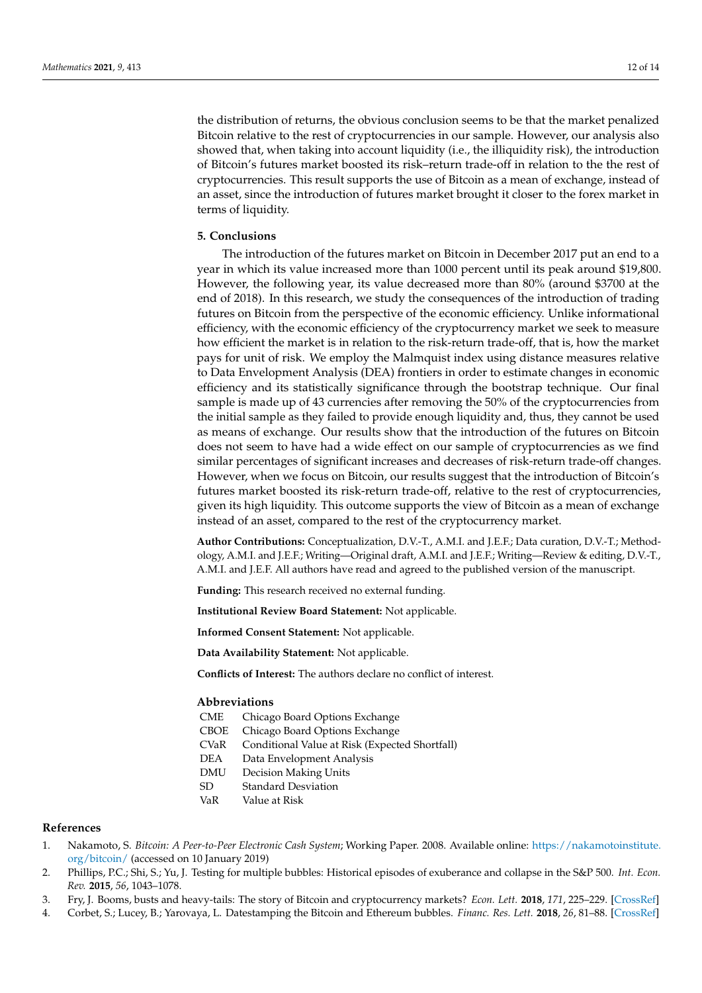the distribution of returns, the obvious conclusion seems to be that the market penalized Bitcoin relative to the rest of cryptocurrencies in our sample. However, our analysis also showed that, when taking into account liquidity (i.e., the illiquidity risk), the introduction of Bitcoin's futures market boosted its risk–return trade-off in relation to the the rest of cryptocurrencies. This result supports the use of Bitcoin as a mean of exchange, instead of an asset, since the introduction of futures market brought it closer to the forex market in terms of liquidity.

## <span id="page-11-4"></span>**5. Conclusions**

The introduction of the futures market on Bitcoin in December 2017 put an end to a year in which its value increased more than 1000 percent until its peak around \$19,800. However, the following year, its value decreased more than 80% (around \$3700 at the end of 2018). In this research, we study the consequences of the introduction of trading futures on Bitcoin from the perspective of the economic efficiency. Unlike informational efficiency, with the economic efficiency of the cryptocurrency market we seek to measure how efficient the market is in relation to the risk-return trade-off, that is, how the market pays for unit of risk. We employ the Malmquist index using distance measures relative to Data Envelopment Analysis (DEA) frontiers in order to estimate changes in economic efficiency and its statistically significance through the bootstrap technique. Our final sample is made up of 43 currencies after removing the 50% of the cryptocurrencies from the initial sample as they failed to provide enough liquidity and, thus, they cannot be used as means of exchange. Our results show that the introduction of the futures on Bitcoin does not seem to have had a wide effect on our sample of cryptocurrencies as we find similar percentages of significant increases and decreases of risk-return trade-off changes. However, when we focus on Bitcoin, our results suggest that the introduction of Bitcoin's futures market boosted its risk-return trade-off, relative to the rest of cryptocurrencies, given its high liquidity. This outcome supports the view of Bitcoin as a mean of exchange instead of an asset, compared to the rest of the cryptocurrency market.

**Author Contributions:** Conceptualization, D.V.-T., A.M.I. and J.E.F.; Data curation, D.V.-T.; Methodology, A.M.I. and J.E.F.; Writing—Original draft, A.M.I. and J.E.F.; Writing—Review & editing, D.V.-T., A.M.I. and J.E.F. All authors have read and agreed to the published version of the manuscript.

**Funding:** This research received no external funding.

**Institutional Review Board Statement:** Not applicable.

**Informed Consent Statement:** Not applicable.

**Data Availability Statement:** Not applicable.

**Conflicts of Interest:** The authors declare no conflict of interest.

## **Abbreviations**

| CME |  |  |  | Chicago Board Options Exchange |
|-----|--|--|--|--------------------------------|
|-----|--|--|--|--------------------------------|

- CBOE Chicago Board Options Exchange
- CVaR Conditional Value at Risk (Expected Shortfall)
- DEA Data Envelopment Analysis
- DMU Decision Making Units
- SD Standard Desviation
- VaR Value at Risk

#### **References**

- <span id="page-11-0"></span>1. Nakamoto, S. *Bitcoin: A Peer-to-Peer Electronic Cash System*; Working Paper. 2008. Available online: [https://nakamotoinstitute.](https://nakamotoinstitute.org/bitcoin/) [org/bitcoin/](https://nakamotoinstitute.org/bitcoin/) (accessed on 10 January 2019)
- <span id="page-11-1"></span>2. Phillips, P.C.; Shi, S.; Yu, J. Testing for multiple bubbles: Historical episodes of exuberance and collapse in the S&P 500. *Int. Econ. Rev.* **2015**, *56*, 1043–1078.
- <span id="page-11-2"></span>3. Fry, J. Booms, busts and heavy-tails: The story of Bitcoin and cryptocurrency markets? *Econ. Lett.* **2018**, *171*, 225–229. [\[CrossRef\]](http://doi.org/10.1016/j.econlet.2018.08.008)
- <span id="page-11-3"></span>4. Corbet, S.; Lucey, B.; Yarovaya, L. Datestamping the Bitcoin and Ethereum bubbles. *Financ. Res. Lett.* **2018**, *26*, 81–88. [\[CrossRef\]](http://dx.doi.org/10.1016/j.frl.2017.12.006)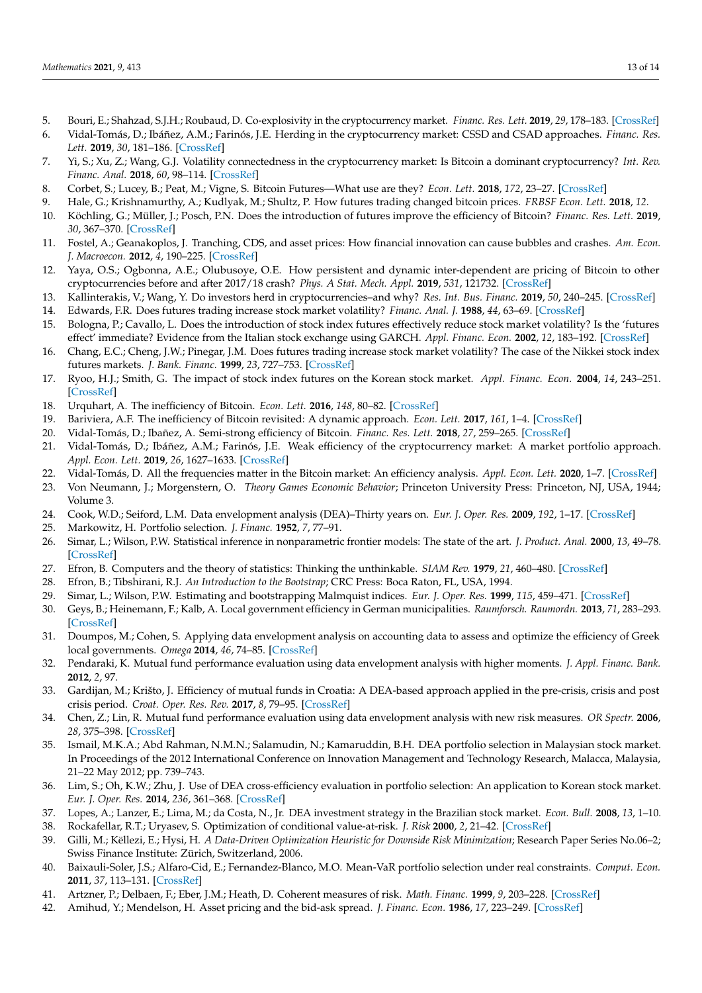- <span id="page-12-0"></span>5. Bouri, E.; Shahzad, S.J.H.; Roubaud, D. Co-explosivity in the cryptocurrency market. *Financ. Res. Lett.* **2019**, *29*, 178–183. [\[CrossRef\]](http://dx.doi.org/10.1016/j.frl.2018.07.005)
- <span id="page-12-1"></span>6. Vidal-Tomás, D.; Ibáñez, A.M.; Farinós, J.E. Herding in the cryptocurrency market: CSSD and CSAD approaches. *Financ. Res. Lett.* **2019**, *30*, 181–186. [\[CrossRef\]](http://dx.doi.org/10.1016/j.frl.2018.09.008)
- <span id="page-12-2"></span>7. Yi, S.; Xu, Z.; Wang, G.J. Volatility connectedness in the cryptocurrency market: Is Bitcoin a dominant cryptocurrency? *Int. Rev. Financ. Anal.* **2018**, *60*, 98–114. [\[CrossRef\]](http://dx.doi.org/10.1016/j.irfa.2018.08.012)
- <span id="page-12-3"></span>8. Corbet, S.; Lucey, B.; Peat, M.; Vigne, S. Bitcoin Futures—What use are they? *Econ. Lett.* **2018**, *172*, 23–27. [\[CrossRef\]](http://dx.doi.org/10.1016/j.econlet.2018.07.031)
- <span id="page-12-5"></span>9. Hale, G.; Krishnamurthy, A.; Kudlyak, M.; Shultz, P. How futures trading changed bitcoin prices. *FRBSF Econ. Lett.* **2018**, *12*.
- <span id="page-12-4"></span>10. Köchling, G.; Müller, J.; Posch, P.N. Does the introduction of futures improve the efficiency of Bitcoin? *Financ. Res. Lett.* **2019**, *30*, 367–370. [\[CrossRef\]](http://dx.doi.org/10.1016/j.frl.2018.11.006)
- <span id="page-12-6"></span>11. Fostel, A.; Geanakoplos, J. Tranching, CDS, and asset prices: How financial innovation can cause bubbles and crashes. *Am. Econ. J. Macroecon.* **2012**, *4*, 190–225. [\[CrossRef\]](http://dx.doi.org/10.1257/mac.4.1.190)
- <span id="page-12-7"></span>12. Yaya, O.S.; Ogbonna, A.E.; Olubusoye, O.E. How persistent and dynamic inter-dependent are pricing of Bitcoin to other cryptocurrencies before and after 2017/18 crash? *Phys. A Stat. Mech. Appl.* **2019**, *531*, 121732. [\[CrossRef\]](http://dx.doi.org/10.1016/j.physa.2019.121732)
- <span id="page-12-8"></span>13. Kallinterakis, V.; Wang, Y. Do investors herd in cryptocurrencies–and why? *Res. Int. Bus. Financ.* **2019**, *50*, 240–245. [\[CrossRef\]](http://dx.doi.org/10.1016/j.ribaf.2019.05.005)
- <span id="page-12-9"></span>14. Edwards, F.R. Does futures trading increase stock market volatility? *Financ. Anal. J.* **1988**, *44*, 63–69. [\[CrossRef\]](http://dx.doi.org/10.2469/faj.v44.n1.63)
- <span id="page-12-10"></span>15. Bologna, P.; Cavallo, L. Does the introduction of stock index futures effectively reduce stock market volatility? Is the 'futures effect' immediate? Evidence from the Italian stock exchange using GARCH. *Appl. Financ. Econ.* **2002**, *12*, 183–192. [\[CrossRef\]](http://dx.doi.org/10.1080/09603100110088085)
- <span id="page-12-11"></span>16. Chang, E.C.; Cheng, J.W.; Pinegar, J.M. Does futures trading increase stock market volatility? The case of the Nikkei stock index futures markets. *J. Bank. Financ.* **1999**, *23*, 727–753. [\[CrossRef\]](http://dx.doi.org/10.1016/S0378-4266(98)00069-7)
- <span id="page-12-12"></span>17. Ryoo, H.J.; Smith, G. The impact of stock index futures on the Korean stock market. *Appl. Financ. Econ.* **2004**, *14*, 243–251. [\[CrossRef\]](http://dx.doi.org/10.1080/0960310042000201183)
- <span id="page-12-13"></span>18. Urquhart, A. The inefficiency of Bitcoin. *Econ. Lett.* **2016**, *148*, 80–82. [\[CrossRef\]](http://dx.doi.org/10.1016/j.econlet.2016.09.019)
- 19. Bariviera, A.F. The inefficiency of Bitcoin revisited: A dynamic approach. *Econ. Lett.* **2017**, *161*, 1–4. [\[CrossRef\]](http://dx.doi.org/10.1016/j.econlet.2017.09.013)
- <span id="page-12-29"></span>20. Vidal-Tomás, D.; Ibañez, A. Semi-strong efficiency of Bitcoin. *Financ. Res. Lett.* **2018**, *27*, 259–265. [\[CrossRef\]](http://dx.doi.org/10.1016/j.frl.2018.03.013)
- 21. Vidal-Tomás, D.; Ibáñez, A.M.; Farinós, J.E. Weak efficiency of the cryptocurrency market: A market portfolio approach. *Appl. Econ. Lett.* **2019**, *26*, 1627–1633. [\[CrossRef\]](http://dx.doi.org/10.1080/13504851.2019.1591583)
- <span id="page-12-14"></span>22. Vidal-Tomás, D. All the frequencies matter in the Bitcoin market: An efficiency analysis. *Appl. Econ. Lett.* **2020**, 1–7. [\[CrossRef\]](http://dx.doi.org/10.1080/13504851.2020.1861196)
- <span id="page-12-15"></span>23. Von Neumann, J.; Morgenstern, O. *Theory Games Economic Behavior*; Princeton University Press: Princeton, NJ, USA, 1944; Volume 3.
- <span id="page-12-16"></span>24. Cook, W.D.; Seiford, L.M. Data envelopment analysis (DEA)–Thirty years on. *Eur. J. Oper. Res.* **2009**, *192*, 1–17. [\[CrossRef\]](http://dx.doi.org/10.1016/j.ejor.2008.01.032)
- <span id="page-12-17"></span>25. Markowitz, H. Portfolio selection. *J. Financ.* **1952**, *7*, 77–91.
- <span id="page-12-18"></span>26. Simar, L.; Wilson, P.W. Statistical inference in nonparametric frontier models: The state of the art. *J. Product. Anal.* **2000**, *13*, 49–78. [\[CrossRef\]](http://dx.doi.org/10.1023/A:1007864806704)
- <span id="page-12-19"></span>27. Efron, B. Computers and the theory of statistics: Thinking the unthinkable. *SIAM Rev.* **1979**, *21*, 460–480. [\[CrossRef\]](http://dx.doi.org/10.1137/1021092)
- <span id="page-12-20"></span>28. Efron, B.; Tibshirani, R.J. *An Introduction to the Bootstrap*; CRC Press: Boca Raton, FL, USA, 1994.
- <span id="page-12-21"></span>29. Simar, L.; Wilson, P.W. Estimating and bootstrapping Malmquist indices. *Eur. J. Oper. Res.* **1999**, *115*, 459–471. [\[CrossRef\]](http://dx.doi.org/10.1016/S0377-2217(97)00450-5)
- <span id="page-12-22"></span>30. Geys, B.; Heinemann, F.; Kalb, A. Local government efficiency in German municipalities. *Raumforsch. Raumordn.* **2013**, *71*, 283–293. [\[CrossRef\]](http://dx.doi.org/10.1007/s13147-012-0191-x)
- <span id="page-12-23"></span>31. Doumpos, M.; Cohen, S. Applying data envelopment analysis on accounting data to assess and optimize the efficiency of Greek local governments. *Omega* **2014**, *46*, 74–85. [\[CrossRef\]](http://dx.doi.org/10.1016/j.omega.2014.02.004)
- <span id="page-12-24"></span>32. Pendaraki, K. Mutual fund performance evaluation using data envelopment analysis with higher moments. *J. Appl. Financ. Bank.* **2012**, *2*, 97.
- 33. Gardijan, M.; Krišto, J. Efficiency of mutual funds in Croatia: A DEA-based approach applied in the pre-crisis, crisis and post crisis period. *Croat. Oper. Res. Rev.* **2017**, *8*, 79–95. [\[CrossRef\]](http://dx.doi.org/10.17535/crorr.2017.0005)
- <span id="page-12-25"></span>34. Chen, Z.; Lin, R. Mutual fund performance evaluation using data envelopment analysis with new risk measures. *OR Spectr.* **2006**, *28*, 375–398. [\[CrossRef\]](http://dx.doi.org/10.1007/s00291-005-0032-1)
- <span id="page-12-26"></span>35. Ismail, M.K.A.; Abd Rahman, N.M.N.; Salamudin, N.; Kamaruddin, B.H. DEA portfolio selection in Malaysian stock market. In Proceedings of the 2012 International Conference on Innovation Management and Technology Research, Malacca, Malaysia, 21–22 May 2012; pp. 739–743.
- <span id="page-12-27"></span>36. Lim, S.; Oh, K.W.; Zhu, J. Use of DEA cross-efficiency evaluation in portfolio selection: An application to Korean stock market. *Eur. J. Oper. Res.* **2014**, *236*, 361–368. [\[CrossRef\]](http://dx.doi.org/10.1016/j.ejor.2013.12.002)
- <span id="page-12-28"></span>37. Lopes, A.; Lanzer, E.; Lima, M.; da Costa, N., Jr. DEA investment strategy in the Brazilian stock market. *Econ. Bull.* **2008**, *13*, 1–10.
- <span id="page-12-30"></span>38. Rockafellar, R.T.; Uryasev, S. Optimization of conditional value-at-risk. *J. Risk* **2000**, *2*, 21–42. [\[CrossRef\]](http://dx.doi.org/10.21314/JOR.2000.038)
- 39. Gilli, M.; Këllezi, E.; Hysi, H. *A Data-Driven Optimization Heuristic for Downside Risk Minimization*; Research Paper Series No.06–2; Swiss Finance Institute: Zürich, Switzerland, 2006.
- <span id="page-12-31"></span>40. Baixauli-Soler, J.S.; Alfaro-Cid, E.; Fernandez-Blanco, M.O. Mean-VaR portfolio selection under real constraints. *Comput. Econ.* **2011**, *37*, 113–131. [\[CrossRef\]](http://dx.doi.org/10.1007/s10614-009-9195-1)
- <span id="page-12-32"></span>41. Artzner, P.; Delbaen, F.; Eber, J.M.; Heath, D. Coherent measures of risk. *Math. Financ.* **1999**, *9*, 203–228. [\[CrossRef\]](http://dx.doi.org/10.1111/1467-9965.00068)
- <span id="page-12-33"></span>42. Amihud, Y.; Mendelson, H. Asset pricing and the bid-ask spread. *J. Financ. Econ.* **1986**, *17*, 223–249. [\[CrossRef\]](http://dx.doi.org/10.1016/0304-405X(86)90065-6)